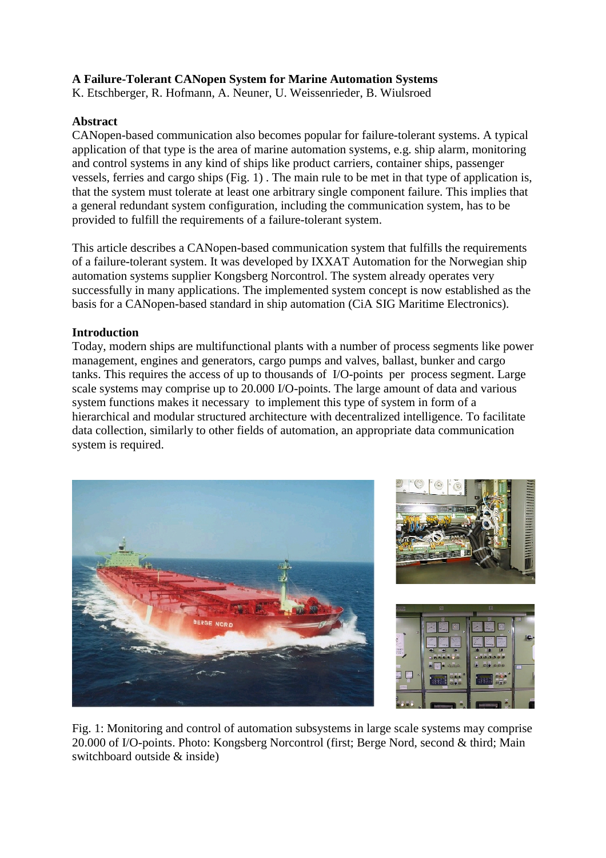## **A Failure-Tolerant CANopen System for Marine Automation Systems**

K. Etschberger, R. Hofmann, A. Neuner, U. Weissenrieder, B. Wiulsroed

### **Abstract**

CANopen-based communication also becomes popular for failure-tolerant systems. A typical application of that type is the area of marine automation systems, e.g. ship alarm, monitoring and control systems in any kind of ships like product carriers, container ships, passenger vessels, ferries and cargo ships (Fig. 1) . The main rule to be met in that type of application is, that the system must tolerate at least one arbitrary single component failure. This implies that a general redundant system configuration, including the communication system, has to be provided to fulfill the requirements of a failure-tolerant system.

This article describes a CANopen-based communication system that fulfills the requirements of a failure-tolerant system. It was developed by IXXAT Automation for the Norwegian ship automation systems supplier Kongsberg Norcontrol. The system already operates very successfully in many applications. The implemented system concept is now established as the basis for a CANopen-based standard in ship automation (CiA SIG Maritime Electronics).

### **Introduction**

Today, modern ships are multifunctional plants with a number of process segments like power management, engines and generators, cargo pumps and valves, ballast, bunker and cargo tanks. This requires the access of up to thousands of I/O-points per process segment. Large scale systems may comprise up to 20.000 I/O-points. The large amount of data and various system functions makes it necessary to implement this type of system in form of a hierarchical and modular structured architecture with decentralized intelligence. To facilitate data collection, similarly to other fields of automation, an appropriate data communication system is required.



Fig. 1: Monitoring and control of automation subsystems in large scale systems may comprise 20.000 of I/O-points. Photo: Kongsberg Norcontrol (first; Berge Nord, second & third; Main switchboard outside & inside)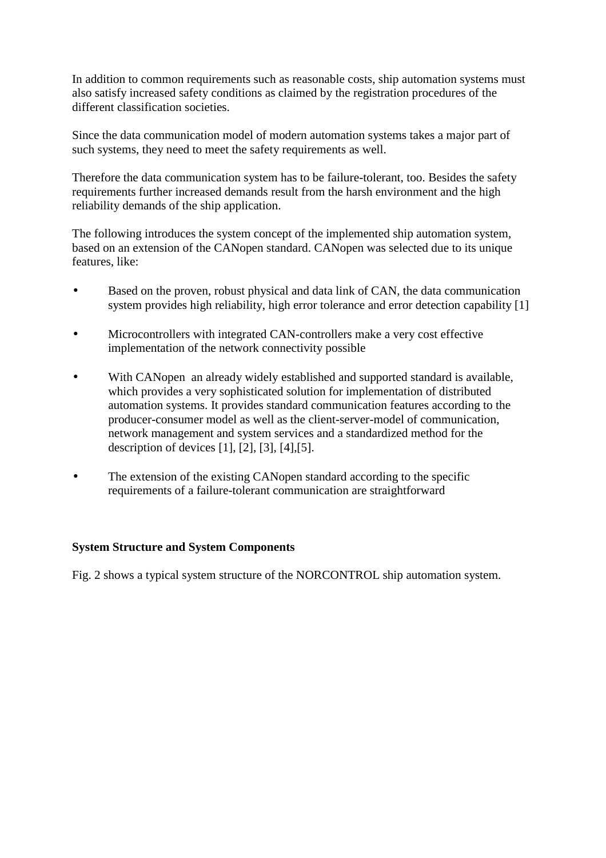In addition to common requirements such as reasonable costs, ship automation systems must also satisfy increased safety conditions as claimed by the registration procedures of the different classification societies.

Since the data communication model of modern automation systems takes a major part of such systems, they need to meet the safety requirements as well.

Therefore the data communication system has to be failure-tolerant, too. Besides the safety requirements further increased demands result from the harsh environment and the high reliability demands of the ship application.

The following introduces the system concept of the implemented ship automation system, based on an extension of the CANopen standard. CANopen was selected due to its unique features, like:

- Based on the proven, robust physical and data link of CAN, the data communication system provides high reliability, high error tolerance and error detection capability [1]
- Microcontrollers with integrated CAN-controllers make a very cost effective implementation of the network connectivity possible
- With CANopen an already widely established and supported standard is available, which provides a very sophisticated solution for implementation of distributed automation systems. It provides standard communication features according to the producer-consumer model as well as the client-server-model of communication, network management and system services and a standardized method for the description of devices [1], [2], [3], [4],[5].
- The extension of the existing CANopen standard according to the specific requirements of a failure-tolerant communication are straightforward

### **System Structure and System Components**

Fig. 2 shows a typical system structure of the NORCONTROL ship automation system.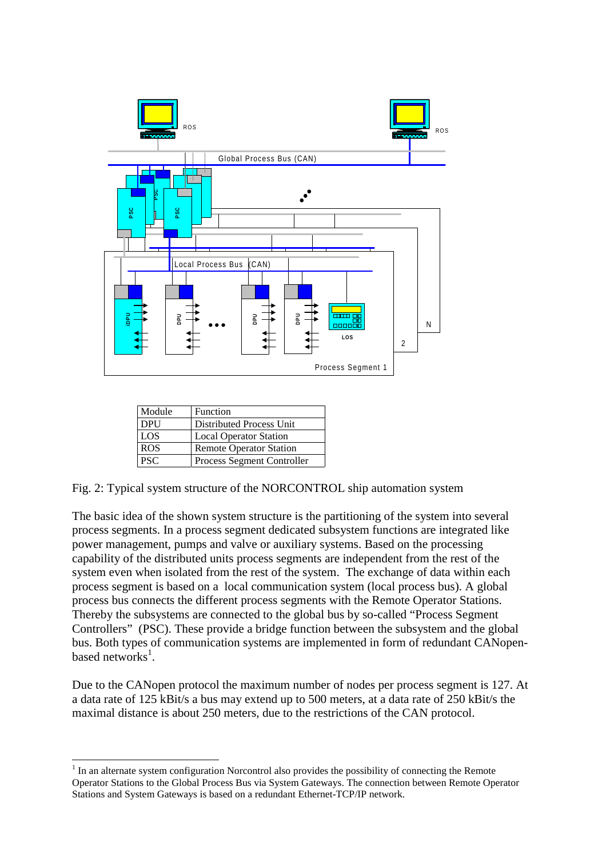

| Module     | Function                       |
|------------|--------------------------------|
| <b>DPU</b> | Distributed Process Unit       |
| LOS        | <b>Local Operator Station</b>  |
| <b>ROS</b> | <b>Remote Operator Station</b> |
| <b>PSC</b> | Process Segment Controller     |

l

Fig. 2: Typical system structure of the NORCONTROL ship automation system

The basic idea of the shown system structure is the partitioning of the system into several process segments. In a process segment dedicated subsystem functions are integrated like power management, pumps and valve or auxiliary systems. Based on the processing capability of the distributed units process segments are independent from the rest of the system even when isolated from the rest of the system. The exchange of data within each process segment is based on a local communication system (local process bus). A global process bus connects the different process segments with the Remote Operator Stations. Thereby the subsystems are connected to the global bus by so-called "Process Segment Controllers" (PSC). These provide a bridge function between the subsystem and the global bus. Both types of communication systems are implemented in form of redundant CANopenbased networks<sup>1</sup>. STATIFY 1990 and System Gate of the Northern Court of the System Gateways is based on a reduced by a reduced by the station of the Sixtem Gateways is based on a reduced by the distributed Process Segment Controller Fig. 2

Due to the CANopen protocol the maximum number of nodes per process segment is 127. At a data rate of 125 kBit/s a bus may extend up to 500 meters, at a data rate of 250 kBit/s the maximal distance is about 250 meters, due to the restrictions of the CAN protocol.

 $<sup>1</sup>$  In an alternate system configuration Norcontrol also provides the possibility of connecting the Remote</sup> Operator Stations to the Global Process Bus via System Gateways. The connection between Remote Operator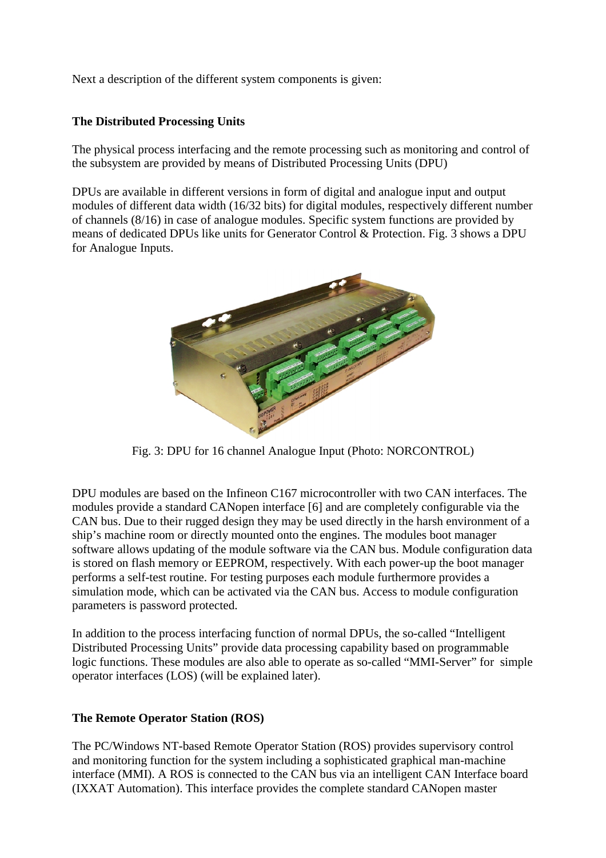Next a description of the different system components is given:

### **The Distributed Processing Units**

The physical process interfacing and the remote processing such as monitoring and control of the subsystem are provided by means of Distributed Processing Units (DPU)

DPUs are available in different versions in form of digital and analogue input and output modules of different data width (16/32 bits) for digital modules, respectively different number of channels (8/16) in case of analogue modules. Specific system functions are provided by means of dedicated DPUs like units for Generator Control & Protection. Fig. 3 shows a DPU for Analogue Inputs.



Fig. 3: DPU for 16 channel Analogue Input (Photo: NORCONTROL)

DPU modules are based on the Infineon C167 microcontroller with two CAN interfaces. The modules provide a standard CANopen interface [6] and are completely configurable via the CAN bus. Due to their rugged design they may be used directly in the harsh environment of a ship's machine room or directly mounted onto the engines. The modules boot manager software allows updating of the module software via the CAN bus. Module configuration data is stored on flash memory or EEPROM, respectively. With each power-up the boot manager performs a self-test routine. For testing purposes each module furthermore provides a simulation mode, which can be activated via the CAN bus. Access to module configuration parameters is password protected.

In addition to the process interfacing function of normal DPUs, the so-called "Intelligent Distributed Processing Units" provide data processing capability based on programmable logic functions. These modules are also able to operate as so-called "MMI-Server" for simple operator interfaces (LOS) (will be explained later).

## **The Remote Operator Station (ROS)**

The PC/Windows NT-based Remote Operator Station (ROS) provides supervisory control and monitoring function for the system including a sophisticated graphical man-machine interface (MMI). A ROS is connected to the CAN bus via an intelligent CAN Interface board (IXXAT Automation). This interface provides the complete standard CANopen master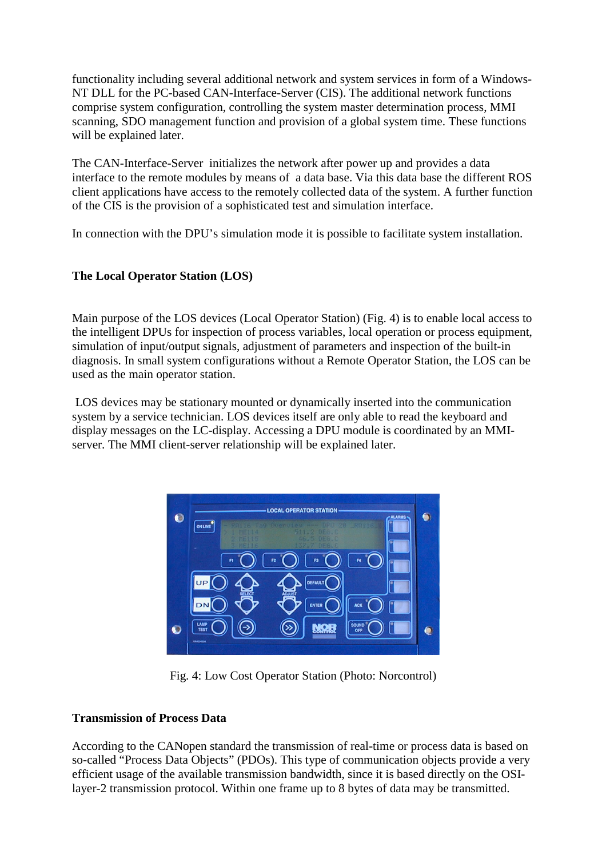functionality including several additional network and system services in form of a Windows-NT DLL for the PC-based CAN-Interface-Server (CIS). The additional network functions comprise system configuration, controlling the system master determination process, MMI scanning, SDO management function and provision of a global system time. These functions will be explained later.

The CAN-Interface-Server initializes the network after power up and provides a data interface to the remote modules by means of a data base. Via this data base the different ROS client applications have access to the remotely collected data of the system. A further function of the CIS is the provision of a sophisticated test and simulation interface.

In connection with the DPU's simulation mode it is possible to facilitate system installation.

### **The Local Operator Station (LOS)**

Main purpose of the LOS devices (Local Operator Station) (Fig. 4) is to enable local access to the intelligent DPUs for inspection of process variables, local operation or process equipment, simulation of input/output signals, adjustment of parameters and inspection of the built-in diagnosis. In small system configurations without a Remote Operator Station, the LOS can be used as the main operator station.

 LOS devices may be stationary mounted or dynamically inserted into the communication system by a service technician. LOS devices itself are only able to read the keyboard and display messages on the LC-display. Accessing a DPU module is coordinated by an MMIserver. The MMI client-server relationship will be explained later.



Fig. 4: Low Cost Operator Station (Photo: Norcontrol)

## **Transmission of Process Data**

According to the CANopen standard the transmission of real-time or process data is based on so-called "Process Data Objects" (PDOs). This type of communication objects provide a very efficient usage of the available transmission bandwidth, since it is based directly on the OSIlayer-2 transmission protocol. Within one frame up to 8 bytes of data may be transmitted.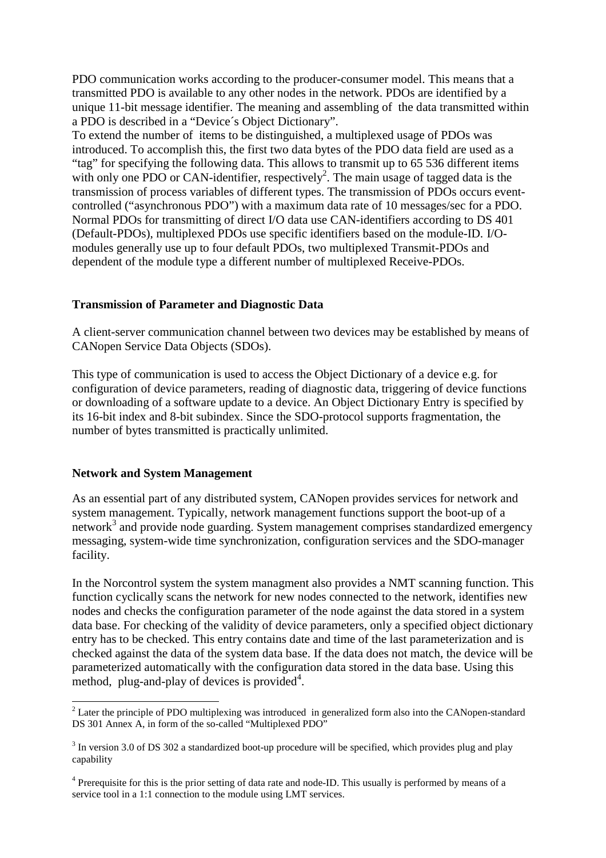PDO communication works according to the producer-consumer model. This means that a transmitted PDO is available to any other nodes in the network. PDOs are identified by a unique 11-bit message identifier. The meaning and assembling of the data transmitted within a PDO is described in a "Device´s Object Dictionary".

To extend the number of items to be distinguished, a multiplexed usage of PDOs was introduced. To accomplish this, the first two data bytes of the PDO data field are used as a "tag" for specifying the following data. This allows to transmit up to 65 536 different items with only one PDO or CAN-identifier, respectively<sup>2</sup>. The main usage of tagged data is the transmission of process variables of different types. The transmission of PDOs occurs eventcontrolled ("asynchronous PDO") with a maximum data rate of 10 messages/sec for a PDO. Normal PDOs for transmitting of direct I/O data use CAN-identifiers according to DS 401 (Default-PDOs), multiplexed PDOs use specific identifiers based on the module-ID. I/Omodules generally use up to four default PDOs, two multiplexed Transmit-PDOs and dependent of the module type a different number of multiplexed Receive-PDOs.

### **Transmission of Parameter and Diagnostic Data**

A client-server communication channel between two devices may be established by means of CANopen Service Data Objects (SDOs).

This type of communication is used to access the Object Dictionary of a device e.g. for configuration of device parameters, reading of diagnostic data, triggering of device functions or downloading of a software update to a device. An Object Dictionary Entry is specified by its 16-bit index and 8-bit subindex. Since the SDO-protocol supports fragmentation, the number of bytes transmitted is practically unlimited.

#### **Network and System Management**

-

As an essential part of any distributed system, CANopen provides services for network and system management. Typically, network management functions support the boot-up of a network<sup>3</sup> and provide node guarding. System management comprises standardized emergency messaging, system-wide time synchronization, configuration services and the SDO-manager facility.

In the Norcontrol system the system managment also provides a NMT scanning function. This function cyclically scans the network for new nodes connected to the network, identifies new nodes and checks the configuration parameter of the node against the data stored in a system data base. For checking of the validity of device parameters, only a specified object dictionary entry has to be checked. This entry contains date and time of the last parameterization and is checked against the data of the system data base. If the data does not match, the device will be parameterized automatically with the configuration data stored in the data base. Using this method, plug-and-play of devices is provided $4$ .

 $2^{2}$  Later the principle of PDO multiplexing was introduced in generalized form also into the CANopen-standard DS 301 Annex A, in form of the so-called "Multiplexed PDO"

 $3$  In version 3.0 of DS 302 a standardized boot-up procedure will be specified, which provides plug and play capability

<sup>&</sup>lt;sup>4</sup> Prerequisite for this is the prior setting of data rate and node-ID. This usually is performed by means of a service tool in a 1:1 connection to the module using LMT services.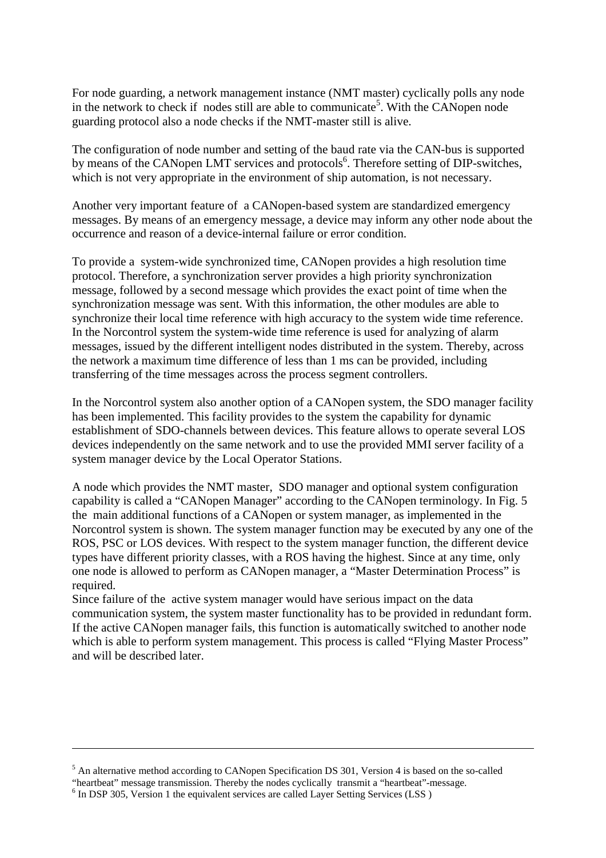For node guarding, a network management instance (NMT master) cyclically polls any node in the network to check if nodes still are able to communicate<sup>5</sup>. With the CANopen node guarding protocol also a node checks if the NMT-master still is alive.

The configuration of node number and setting of the baud rate via the CAN-bus is supported by means of the CANopen LMT services and protocols<sup>6</sup>. Therefore setting of DIP-switches, which is not very appropriate in the environment of ship automation, is not necessary.

Another very important feature of a CANopen-based system are standardized emergency messages. By means of an emergency message, a device may inform any other node about the occurrence and reason of a device-internal failure or error condition.

To provide a system-wide synchronized time, CANopen provides a high resolution time protocol. Therefore, a synchronization server provides a high priority synchronization message, followed by a second message which provides the exact point of time when the synchronization message was sent. With this information, the other modules are able to synchronize their local time reference with high accuracy to the system wide time reference. In the Norcontrol system the system-wide time reference is used for analyzing of alarm messages, issued by the different intelligent nodes distributed in the system. Thereby, across the network a maximum time difference of less than 1 ms can be provided, including transferring of the time messages across the process segment controllers.

In the Norcontrol system also another option of a CANopen system, the SDO manager facility has been implemented. This facility provides to the system the capability for dynamic establishment of SDO-channels between devices. This feature allows to operate several LOS devices independently on the same network and to use the provided MMI server facility of a system manager device by the Local Operator Stations.

A node which provides the NMT master, SDO manager and optional system configuration capability is called a "CANopen Manager" according to the CANopen terminology. In Fig. 5 the main additional functions of a CANopen or system manager, as implemented in the Norcontrol system is shown. The system manager function may be executed by any one of the ROS, PSC or LOS devices. With respect to the system manager function, the different device types have different priority classes, with a ROS having the highest. Since at any time, only one node is allowed to perform as CANopen manager, a "Master Determination Process" is required.

Since failure of the active system manager would have serious impact on the data communication system, the system master functionality has to be provided in redundant form. If the active CANopen manager fails, this function is automatically switched to another node which is able to perform system management. This process is called "Flying Master Process" and will be described later.

-

<sup>&</sup>lt;sup>5</sup> An alternative method according to CANopen Specification DS 301, Version 4 is based on the so-called

<sup>&</sup>quot;heartbeat" message transmission. Thereby the nodes cyclically transmit a "heartbeat"-message.

<sup>&</sup>lt;sup>6</sup> In DSP 305, Version 1 the equivalent services are called Layer Setting Services (LSS)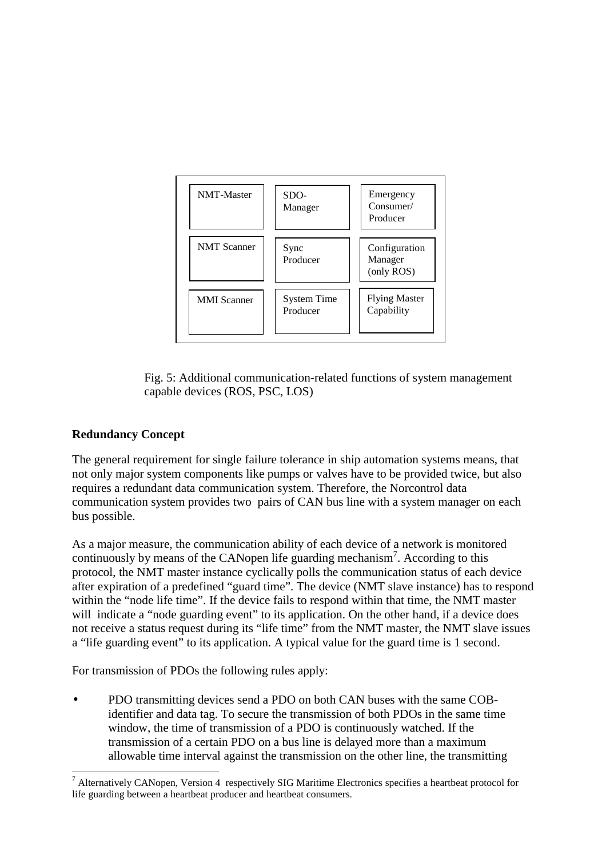

Fig. 5: Additional communication-related functions of system management capable devices (ROS, PSC, LOS)

# **Redundancy Concept**

The general requirement for single failure tolerance in ship automation systems means, that not only major system components like pumps or valves have to be provided twice, but also requires a redundant data communication system. Therefore, the Norcontrol data communication system provides two pairs of CAN bus line with a system manager on each bus possible.

As a major measure, the communication ability of each device of a network is monitored continuously by means of the CANopen life guarding mechanism<sup>7</sup>. According to this protocol, the NMT master instance cyclically polls the communication status of each device after expiration of a predefined "guard time". The device (NMT slave instance) has to respond within the "node life time". If the device fails to respond within that time, the NMT master will indicate a "node guarding event" to its application. On the other hand, if a device does not receive a status request during its "life time" from the NMT master, the NMT slave issues a "life guarding event" to its application. A typical value for the guard time is 1 second.

For transmission of PDOs the following rules apply:

• PDO transmitting devices send a PDO on both CAN buses with the same COBidentifier and data tag. To secure the transmission of both PDOs in the same time window, the time of transmission of a PDO is continuously watched. If the transmission of a certain PDO on a bus line is delayed more than a maximum allowable time interval against the transmission on the other line, the transmitting

j <sup>7</sup> Alternatively CANopen, Version 4 respectively SIG Maritime Electronics specifies a heartbeat protocol for life guarding between a heartbeat producer and heartbeat consumers.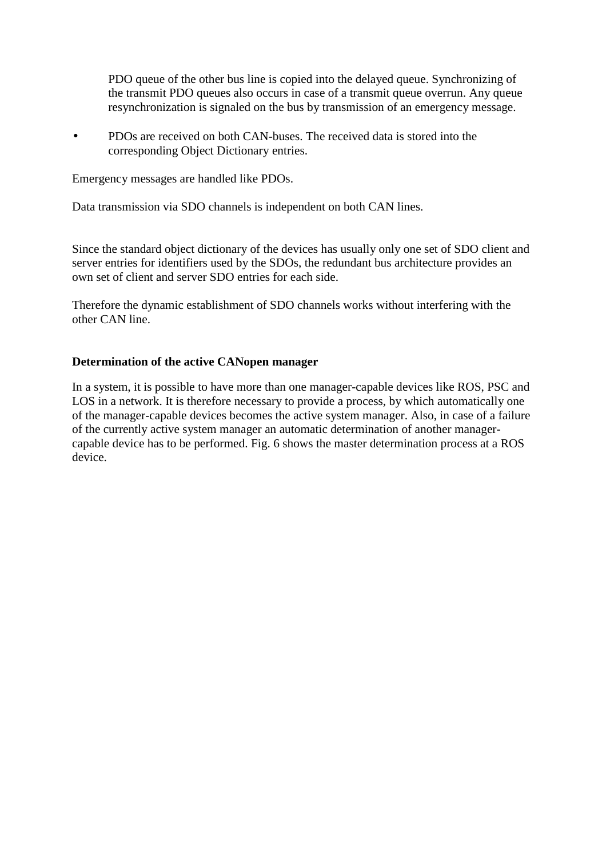PDO queue of the other bus line is copied into the delayed queue. Synchronizing of the transmit PDO queues also occurs in case of a transmit queue overrun. Any queue resynchronization is signaled on the bus by transmission of an emergency message.

• PDOs are received on both CAN-buses. The received data is stored into the corresponding Object Dictionary entries.

Emergency messages are handled like PDOs.

Data transmission via SDO channels is independent on both CAN lines.

Since the standard object dictionary of the devices has usually only one set of SDO client and server entries for identifiers used by the SDOs, the redundant bus architecture provides an own set of client and server SDO entries for each side.

Therefore the dynamic establishment of SDO channels works without interfering with the other CAN line.

## **Determination of the active CANopen manager**

In a system, it is possible to have more than one manager-capable devices like ROS, PSC and LOS in a network. It is therefore necessary to provide a process, by which automatically one of the manager-capable devices becomes the active system manager. Also, in case of a failure of the currently active system manager an automatic determination of another managercapable device has to be performed. Fig. 6 shows the master determination process at a ROS device.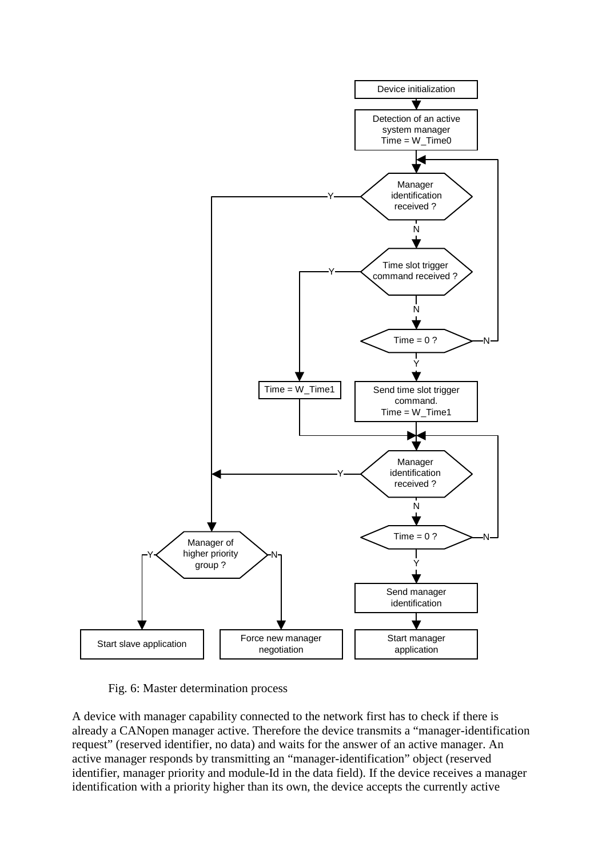

Fig. 6: Master determination process

A device with manager capability connected to the network first has to check if there is already a CANopen manager active. Therefore the device transmits a "manager-identification request" (reserved identifier, no data) and waits for the answer of an active manager. An active manager responds by transmitting an "manager-identification" object (reserved identifier, manager priority and module-Id in the data field). If the device receives a manager identification with a priority higher than its own, the device accepts the currently active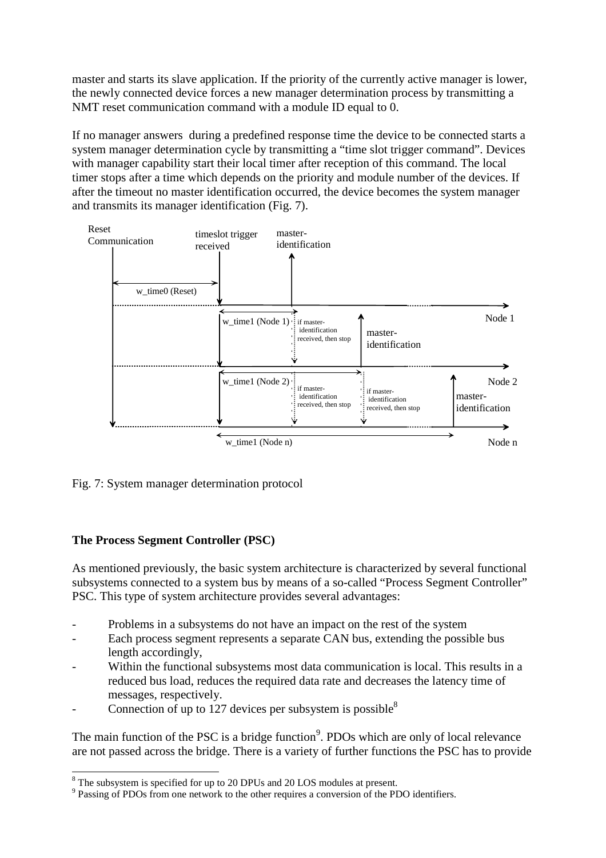master and starts its slave application. If the priority of the currently active manager is lower, the newly connected device forces a new manager determination process by transmitting a NMT reset communication command with a module ID equal to 0.

If no manager answers during a predefined response time the device to be connected starts a system manager determination cycle by transmitting a "time slot trigger command". Devices with manager capability start their local timer after reception of this command. The local timer stops after a time which depends on the priority and module number of the devices. If after the timeout no master identification occurred, the device becomes the system manager and transmits its manager identification (Fig. 7).



Fig. 7: System manager determination protocol

## **The Process Segment Controller (PSC)**

j

As mentioned previously, the basic system architecture is characterized by several functional subsystems connected to a system bus by means of a so-called "Process Segment Controller" PSC. This type of system architecture provides several advantages:

- Problems in a subsystems do not have an impact on the rest of the system
- Each process segment represents a separate CAN bus, extending the possible bus length accordingly,
- Within the functional subsystems most data communication is local. This results in a reduced bus load, reduces the required data rate and decreases the latency time of messages, respectively.
- Connection of up to 127 devices per subsystem is possible<sup>8</sup>

The main function of the PSC is a bridge function<sup>9</sup>. PDOs which are only of local relevance are not passed across the bridge. There is a variety of further functions the PSC has to provide

<sup>&</sup>lt;sup>8</sup> The subsystem is specified for up to 20 DPUs and 20 LOS modules at present.

<sup>&</sup>lt;sup>9</sup> Passing of PDOs from one network to the other requires a conversion of the PDO identifiers.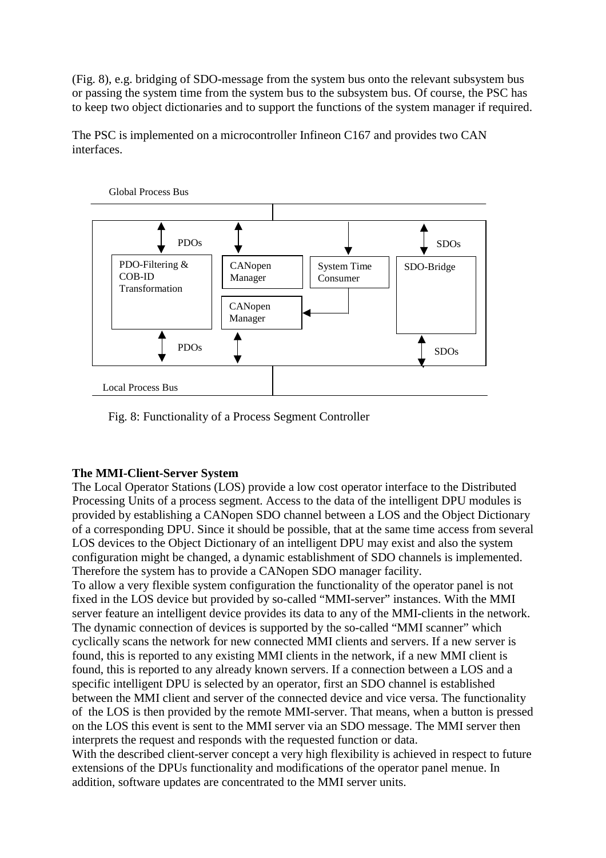(Fig. 8), e.g. bridging of SDO-message from the system bus onto the relevant subsystem bus or passing the system time from the system bus to the subsystem bus. Of course, the PSC has to keep two object dictionaries and to support the functions of the system manager if required.

The PSC is implemented on a microcontroller Infineon C167 and provides two CAN interfaces.



Fig. 8: Functionality of a Process Segment Controller

## **The MMI-Client-Server System**

The Local Operator Stations (LOS) provide a low cost operator interface to the Distributed Processing Units of a process segment. Access to the data of the intelligent DPU modules is provided by establishing a CANopen SDO channel between a LOS and the Object Dictionary of a corresponding DPU. Since it should be possible, that at the same time access from several LOS devices to the Object Dictionary of an intelligent DPU may exist and also the system configuration might be changed, a dynamic establishment of SDO channels is implemented. Therefore the system has to provide a CANopen SDO manager facility.

To allow a very flexible system configuration the functionality of the operator panel is not fixed in the LOS device but provided by so-called "MMI-server" instances. With the MMI server feature an intelligent device provides its data to any of the MMI-clients in the network. The dynamic connection of devices is supported by the so-called "MMI scanner" which cyclically scans the network for new connected MMI clients and servers. If a new server is found, this is reported to any existing MMI clients in the network, if a new MMI client is found, this is reported to any already known servers. If a connection between a LOS and a specific intelligent DPU is selected by an operator, first an SDO channel is established between the MMI client and server of the connected device and vice versa. The functionality of the LOS is then provided by the remote MMI-server. That means, when a button is pressed on the LOS this event is sent to the MMI server via an SDO message. The MMI server then interprets the request and responds with the requested function or data.

With the described client-server concept a very high flexibility is achieved in respect to future extensions of the DPUs functionality and modifications of the operator panel menue. In addition, software updates are concentrated to the MMI server units.